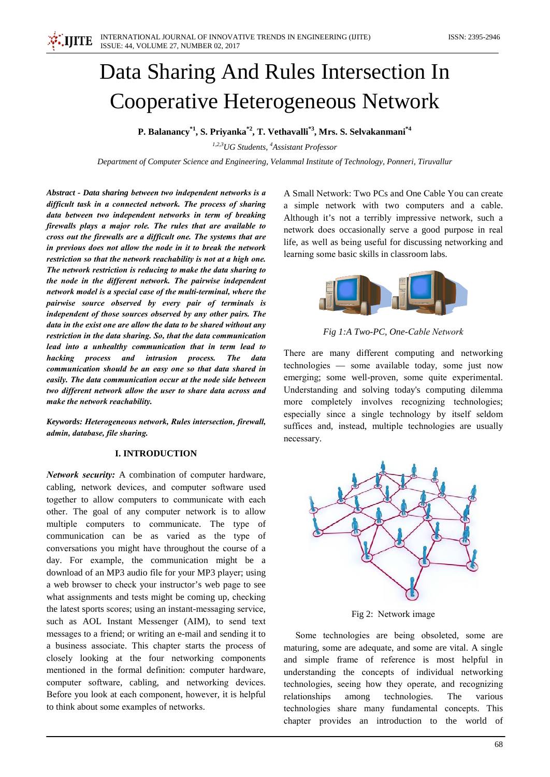# Data Sharing And Rules Intersection In **Cooperative Heterogeneous Network**

P. Balanancy<sup>\*1</sup>, S. Priyanka<sup>\*2</sup>, T. Vethavalli<sup>\*3</sup>, Mrs. S. Selvakanmani<sup>\*4</sup>

<sup>1,2,3</sup>UG Students, <sup>4</sup>Assistant Professor

Department of Computer Science and Engineering, Velammal Institute of Technology, Ponneri, Tiruvallur

Abstract - Data sharing between two independent networks is a difficult task in a connected network. The process of sharing data between two independent networks in term of breaking firewalls plays a major role. The rules that are available to cross out the firewalls are a difficult one. The systems that are in previous does not allow the node in it to break the network restriction so that the network reachability is not at a high one. The network restriction is reducing to make the data sharing to the node in the different network. The pairwise independent network model is a special case of the multi-terminal, where the pairwise source observed by every pair of terminals is independent of those sources observed by any other pairs. The data in the exist one are allow the data to be shared without any restriction in the data sharing. So, that the data communication lead into a unhealthy communication that in term lead to hacking process and intrusion process. The data communication should be an easy one so that data shared in easily. The data communication occur at the node side between two different network allow the user to share data across and make the network reachability.

Keywords: Heterogeneous network, Rules intersection, firewall, admin, database, file sharing.

# **I. INTRODUCTION**

Network security: A combination of computer hardware, cabling, network devices, and computer software used together to allow computers to communicate with each other. The goal of any computer network is to allow multiple computers to communicate. The type of communication can be as varied as the type of conversations you might have throughout the course of a day. For example, the communication might be a download of an MP3 audio file for your MP3 player; using a web browser to check your instructor's web page to see what assignments and tests might be coming up, checking the latest sports scores; using an instant-messaging service, such as AOL Instant Messenger (AIM), to send text messages to a friend; or writing an e-mail and sending it to a business associate. This chapter starts the process of closely looking at the four networking components mentioned in the formal definition: computer hardware, computer software, cabling, and networking devices. Before you look at each component, however, it is helpful to think about some examples of networks.

A Small Network: Two PCs and One Cable You can create a simple network with two computers and a cable. Although it's not a terribly impressive network, such a network does occasionally serve a good purpose in real life, as well as being useful for discussing networking and learning some basic skills in classroom labs.



Fig 1:A Two-PC, One-Cable Network

There are many different computing and networking technologies - some available today, some just now emerging; some well-proven, some quite experimental. Understanding and solving today's computing dilemma more completely involves recognizing technologies; especially since a single technology by itself seldom suffices and, instead, multiple technologies are usually necessary.



Fig 2: Network image

Some technologies are being obsoleted, some are maturing, some are adequate, and some are vital. A single and simple frame of reference is most helpful in understanding the concepts of individual networking technologies, seeing how they operate, and recognizing technologies. relationships among The various technologies share many fundamental concepts. This chapter provides an introduction to the world of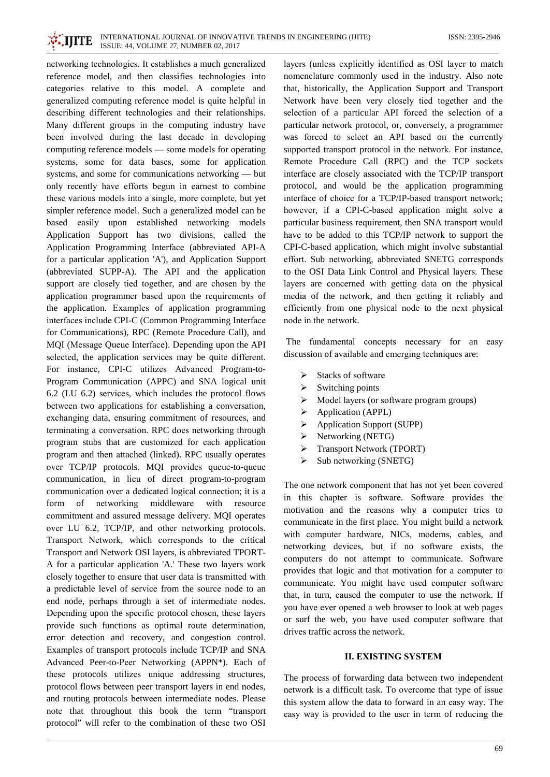networking technologies. It establishes a much generalized reference model, and then classifies technologies into categories relative to this model. A complete and generalized computing reference model is quite helpful in describing different technologies and their relationships. Many different groups in the computing industry have been involved during the last decade in developing computing reference models — some models for operating systems, some for data bases, some for application systems, and some for communications networking — but only recently have efforts begun in earnest to combine these various models into a single, more complete, but yet simpler reference model. Such a generalized model can be based easily upon established networking models Application Support has two divisions, called the Application Programming Interface (abbreviated API-A for a particular application 'A'), and Application Support (abbreviated SUPP-A). The API and the application support are closely tied together, and are chosen by the application programmer based upon the requirements of the application. Examples of application programming interfaces include CPI-C (Common Programming Interface for Communications), RPC (Remote Procedure Call), and MQI (Message Queue Interface). Depending upon the API selected, the application services may be quite different. For instance, CPI-C utilizes Advanced Program-to-Program Communication (APPC) and SNA logical unit 6.2 (LU 6.2) services, which includes the protocol flows between two applications for establishing a conversation, exchanging data, ensuring commitment of resources, and terminating a conversation. RPC does networking through program stubs that are customized for each application program and then attached (linked). RPC usually operates over TCP/IP protocols. MQI provides queue-to-queue communication, in lieu of direct program-to-program communication over a dedicated logical connection; it is a resource form of networking middleware with commitment and assured message delivery. MQI operates over LU 6.2, TCP/IP, and other networking protocols. Transport Network, which corresponds to the critical Transport and Network OSI layers, is abbreviated TPORT-A for a particular application 'A.' These two layers work closely together to ensure that user data is transmitted with a predictable level of service from the source node to an end node, perhaps through a set of intermediate nodes. Depending upon the specific protocol chosen, these layers provide such functions as optimal route determination, error detection and recovery, and congestion control. Examples of transport protocols include TCP/IP and SNA Advanced Peer-to-Peer Networking (APPN\*). Each of these protocols utilizes unique addressing structures, protocol flows between peer transport layers in end nodes, and routing protocols between intermediate nodes. Please note that throughout this book the term "transport protocol" will refer to the combination of these two OSI

**IIITE** 

layers (unless explicitly identified as OSI layer to match nomenclature commonly used in the industry. Also note that, historically, the Application Support and Transport Network have been very closely tied together and the selection of a particular API forced the selection of a particular network protocol, or, conversely, a programmer was forced to select an API based on the currently supported transport protocol in the network. For instance, Remote Procedure Call (RPC) and the TCP sockets interface are closely associated with the TCP/IP transport protocol, and would be the application programming interface of choice for a TCP/IP-based transport network; however, if a CPI-C-based application might solve a particular business requirement, then SNA transport would have to be added to this TCP/IP network to support the CPI-C-based application, which might involve substantial effort. Sub networking, abbreviated SNETG corresponds to the OSI Data Link Control and Physical layers. These layers are concerned with getting data on the physical media of the network, and then getting it reliably and efficiently from one physical node to the next physical node in the network.

The fundamental concepts necessary for an easy discussion of available and emerging techniques are:

- $\triangleright$  Stacks of software
- $\triangleright$  Switching points
- $\triangleright$  Model layers (or software program groups)
- $\triangleright$  Application (APPL)
- $\triangleright$  Application Support (SUPP)
- $\triangleright$  Networking (NETG)
- **Transport Network (TPORT)**  $\blacktriangleright$
- Sub networking (SNETG)  $\blacktriangleright$

The one network component that has not yet been covered in this chapter is software. Software provides the motivation and the reasons why a computer tries to communicate in the first place. You might build a network with computer hardware, NICs, modems, cables, and networking devices, but if no software exists, the computers do not attempt to communicate. Software provides that logic and that motivation for a computer to communicate. You might have used computer software that, in turn, caused the computer to use the network. If you have ever opened a web browser to look at web pages or surf the web, you have used computer software that drives traffic across the network.

## **II. EXISTING SYSTEM**

The process of forwarding data between two independent network is a difficult task. To overcome that type of issue this system allow the data to forward in an easy way. The easy way is provided to the user in term of reducing the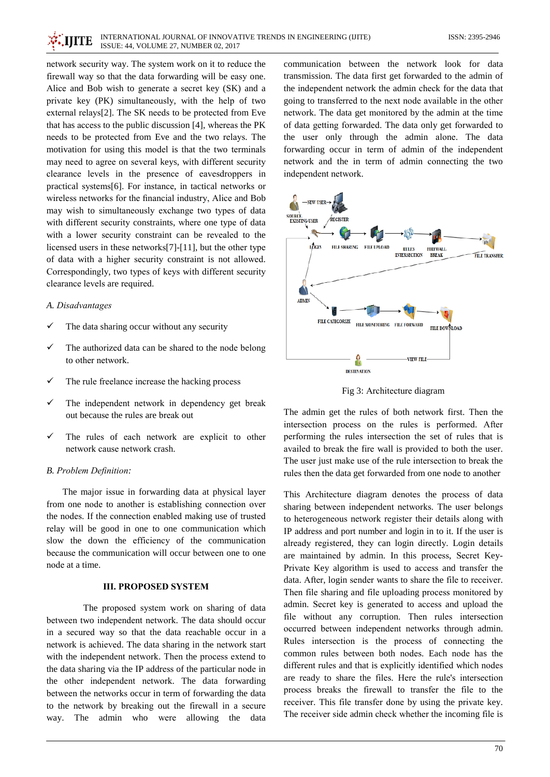network security way. The system work on it to reduce the firewall way so that the data forwarding will be easy one. Alice and Bob wish to generate a secret key (SK) and a private key (PK) simultaneously, with the help of two external relays[2]. The SK needs to be protected from Eve that has access to the public discussion [4], whereas the PK needs to be protected from Eve and the two relays. The motivation for using this model is that the two terminals may need to agree on several keys, with different security clearance levels in the presence of eavesdroppers in practical systems[6]. For instance, in tactical networks or wireless networks for the financial industry, Alice and Bob may wish to simultaneously exchange two types of data with different security constraints, where one type of data with a lower security constraint can be revealed to the licensed users in these networks[7]-[11], but the other type of data with a higher security constraint is not allowed. Correspondingly, two types of keys with different security clearance levels are required.

#### A. Disadvantages

- $\checkmark$ The data sharing occur without any security
- The authorized data can be shared to the node belong to other network.
- The rule freelance increase the hacking process
- The independent network in dependency get break out because the rules are break out
- $\checkmark$ The rules of each network are explicit to other network cause network crash.

#### B. Problem Definition:

The major issue in forwarding data at physical layer from one node to another is establishing connection over the nodes. If the connection enabled making use of trusted relay will be good in one to one communication which slow the down the efficiency of the communication because the communication will occur between one to one node at a time.

## **III. PROPOSED SYSTEM**

The proposed system work on sharing of data between two independent network. The data should occur in a secured way so that the data reachable occur in a network is achieved. The data sharing in the network start with the independent network. Then the process extend to the data sharing via the IP address of the particular node in the other independent network. The data forwarding between the networks occur in term of forwarding the data to the network by breaking out the firewall in a secure way. The admin who were allowing the data

communication between the network look for data transmission. The data first get forwarded to the admin of the independent network the admin check for the data that going to transferred to the next node available in the other network. The data get monitored by the admin at the time of data getting forwarded. The data only get forwarded to the user only through the admin alone. The data forwarding occur in term of admin of the independent network and the in term of admin connecting the two independent network.



Fig 3: Architecture diagram

The admin get the rules of both network first. Then the intersection process on the rules is performed. After performing the rules intersection the set of rules that is availed to break the fire wall is provided to both the user. The user just make use of the rule intersection to break the rules then the data get forwarded from one node to another

This Architecture diagram denotes the process of data sharing between independent networks. The user belongs to heterogeneous network register their details along with IP address and port number and login in to it. If the user is already registered, they can login directly. Login details are maintained by admin. In this process, Secret Key-Private Key algorithm is used to access and transfer the data. After, login sender wants to share the file to receiver. Then file sharing and file uploading process monitored by admin. Secret key is generated to access and upload the file without any corruption. Then rules intersection occurred between independent networks through admin. Rules intersection is the process of connecting the common rules between both nodes. Each node has the different rules and that is explicitly identified which nodes are ready to share the files. Here the rule's intersection process breaks the firewall to transfer the file to the receiver. This file transfer done by using the private key. The receiver side admin check whether the incoming file is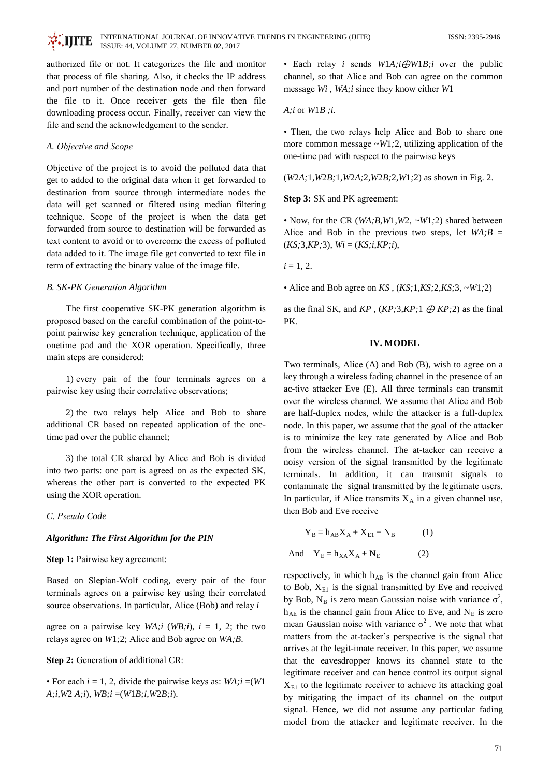authorized file or not. It categorizes the file and monitor that process of file sharing. Also, it checks the IP address and port number of the destination node and then forward the file to it. Once receiver gets the file then file downloading process occur. Finally, receiver can view the file and send the acknowledgement to the sender.

## A. Objective and Scope

Objective of the project is to avoid the polluted data that get to added to the original data when it get forwarded to destination from source through intermediate nodes the data will get scanned or filtered using median filtering technique. Scope of the project is when the data get forwarded from source to destination will be forwarded as text content to avoid or to overcome the excess of polluted data added to it. The image file get converted to text file in term of extracting the binary value of the image file.

## **B. SK-PK Generation Algorithm**

The first cooperative SK-PK generation algorithm is proposed based on the careful combination of the point-topoint pairwise key generation technique, application of the onetime pad and the XOR operation. Specifically, three main steps are considered:

1) every pair of the four terminals agrees on a pairwise key using their correlative observations;

2) the two relays help Alice and Bob to share additional CR based on repeated application of the onetime pad over the public channel;

3) the total CR shared by Alice and Bob is divided into two parts: one part is agreed on as the expected SK, whereas the other part is converted to the expected PK using the XOR operation.

#### C. Pseudo Code

## Algorithm: The First Algorithm for the PIN

#### Step 1: Pairwise key agreement:

Based on Slepian-Wolf coding, every pair of the four terminals agrees on a pairwise key using their correlated source observations. In particular, Alice (Bob) and relay i

agree on a pairwise key  $WA$ ; i (WB; i),  $i = 1$ , 2; the two relays agree on W1;2; Alice and Bob agree on WA;B.

#### Step 2: Generation of additional CR:

• For each  $i = 1, 2$ , divide the pairwise keys as:  $WA$ ;  $i = (W1)$  $A; i, W2 A; i), WB; i = (W1B; i, W2B; i).$ 

• Each relay *i* sends  $W1A$ ; *i*  $\oplus W1B$ ; *i* over the public channel, so that Alice and Bob can agree on the common message Wi, WA;i since they know either W1

 $A$ ;*i* or  $W1B$ ;*i*.

• Then, the two relays help Alice and Bob to share one more common message  $\sim W1,2$ , utilizing application of the one-time pad with respect to the pairwise keys

 $(W2A; 1, W2B; 1, W2A; 2, W2B; 2, W1; 2)$  as shown in Fig. 2.

Step 3: SK and PK agreement:

• Now, for the CR ( $WA; B, W1, W2, \sim W1; 2$ ) shared between Alice and Bob in the previous two steps, let  $WA; B =$  $(KS; 3, KP; 3), Wi = (KS; i, KP; i),$ 

 $i = 1, 2.$ 

• Alice and Bob agree on  $KS$ ,  $(KS; 1, KS; 2, KS; 3, \sim W1; 2)$ 

as the final SK, and  $KP$ ,  $(KP;3,KP;1 \oplus KP;2)$  as the final PK.

#### **IV. MODEL**

Two terminals, Alice (A) and Bob (B), wish to agree on a key through a wireless fading channel in the presence of an ac-tive attacker Eve (E). All three terminals can transmit over the wireless channel. We assume that Alice and Bob are half-duplex nodes, while the attacker is a full-duplex node. In this paper, we assume that the goal of the attacker is to minimize the key rate generated by Alice and Bob from the wireless channel. The at-tacker can receive a noisy version of the signal transmitted by the legitimate terminals. In addition, it can transmit signals to contaminate the signal transmitted by the legitimate users. In particular, if Alice transmits  $X_A$  in a given channel use, then Bob and Eve receive

$$
Y_B = h_{AB}X_A + X_{E1} + N_B \tag{1}
$$

And  $Y_E = h_{XA}X_A + N_E$  $(2)$ 

respectively, in which h<sub>AB</sub> is the channel gain from Alice to Bob,  $X_{E1}$  is the signal transmitted by Eve and received by Bob, N<sub>B</sub> is zero mean Gaussian noise with variance  $\sigma^2$ ,  $h_{AE}$  is the channel gain from Alice to Eve, and  $N_E$  is zero mean Gaussian noise with variance  $\sigma^2$ . We note that what matters from the at-tacker's perspective is the signal that arrives at the legit-imate receiver. In this paper, we assume that the eavesdropper knows its channel state to the legitimate receiver and can hence control its output signal  $X<sub>E1</sub>$  to the legitimate receiver to achieve its attacking goal by mitigating the impact of its channel on the output signal. Hence, we did not assume any particular fading model from the attacker and legitimate receiver. In the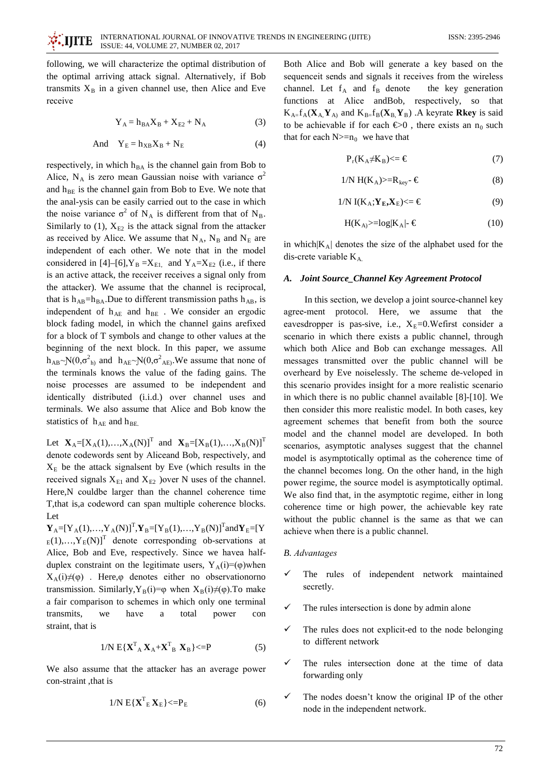following, we will characterize the optimal distribution of the optimal arriving attack signal. Alternatively, if Bob transmits  $X_B$  in a given channel use, then Alice and Eve receive

$$
Y_A = h_{BA} X_B + X_{E2} + N_A \tag{3}
$$

And 
$$
Y_E = h_{XB} X_B + N_E
$$
 (4)

respectively, in which h<sub>BA</sub> is the channel gain from Bob to Alice, N<sub>A</sub> is zero mean Gaussian noise with variance  $\sigma^2$ and  $h_{BE}$  is the channel gain from Bob to Eve. We note that the anal-ysis can be easily carried out to the case in which the noise variance  $\sigma^2$  of N<sub>A</sub> is different from that of N<sub>B</sub>. Similarly to  $(1)$ ,  $X_{E2}$  is the attack signal from the attacker as received by Alice. We assume that  $N_A$ ,  $N_B$  and  $N_E$  are independent of each other. We note that in the model considered in [4]–[6],  $Y_B = X_{E1}$  and  $Y_A = X_{E2}$  (i.e., if there is an active attack, the receiver receives a signal only from the attacker). We assume that the channel is reciprocal, that is  $h_{AB} = h_{BA}$ . Due to different transmission paths  $h_{AB}$ , is independent of h<sub>AE</sub> and h<sub>BE</sub>. We consider an ergodic block fading model, in which the channel gains arefixed for a block of T symbols and change to other values at the beginning of the next block. In this paper, we assume  $h_{AB} \sim N(0, \sigma_{h}^2)$  and  $h_{AE} \sim N(0, \sigma_{AE}^2)$ . We assume that none of the terminals knows the value of the fading gains. The noise processes are assumed to be independent and identically distributed (i.i.d.) over channel uses and terminals. We also assume that Alice and Bob know the statistics of  $h_{AE}$  and  $h_{BE}$ 

Let  $X_A=[X_A(1),...,X_A(N)]^T$  and  $X_B=[X_B(1),...,X_B(N)]^T$ denote codewords sent by Aliceand Bob, respectively, and  $X<sub>E</sub>$  be the attack signalsent by Eve (which results in the received signals  $X_{E1}$  and  $X_{E2}$  ) over N uses of the channel. Here, N couldbe larger than the channel coherence time T, that is, a codeword can span multiple coherence blocks. Let

 ${\bf Y}_A=[{\bf Y}_A(1),...,{\bf Y}_A(N)]^T, {\bf Y}_B=[{\bf Y}_B(1),...,{\bf Y}_B(N)]^T$ and ${\bf Y}_E=[{\bf Y}_A(1),...,{\bf Y}_B(N)]^T$  $E_{\rm E}(1),...,Y_{\rm E}(N)$ <sup>T</sup> denote corresponding ob-servations at Alice, Bob and Eve, respectively. Since we havea halfduplex constraint on the legitimate users,  $Y_A(i)=(\phi)$  when  $X_A(i) \neq (\varphi)$ . Here,  $\varphi$  denotes either no observation orno transmission. Similarly,  $Y_B(i)=\varphi$  when  $X_B(i)\neq(\varphi)$ . To make a fair comparison to schemes in which only one terminal have transmits, we a total power con straint, that is

$$
1/N \mathbf{E} \{ \mathbf{X}^{\mathrm{T}}_{\mathbf{A}} \mathbf{X}_{\mathbf{A}} + \mathbf{X}^{\mathrm{T}}_{\mathbf{B}} \mathbf{X}_{\mathbf{B}} \} <= P \tag{5}
$$

We also assume that the attacker has an average power con-straint, that is

$$
1/N E\{\mathbf{X}_{E}^{T}\mathbf{X}_{E}\} \langle = P_{E}
$$
 (6)

Both Alice and Bob will generate a key based on the sequence it sends and signals it receives from the wireless channel. Let  $f_A$  and  $f_B$  denote the key generation functions at Alice and Bob, respectively, so that  $K_{A=}f_A(\mathbf{X}_A, \mathbf{Y}_A)$  and  $K_{B=}f_B(\mathbf{X}_B, \mathbf{Y}_B)$ . A keyrate **Rkey** is said to be achievable if for each  $\bigoplus$ 0, there exists an n<sub>0</sub> such that for each  $N>=n_0$  we have that

$$
P_r(K_A \neq K_B) \leq \epsilon \tag{7}
$$

$$
1/N H(K_A) \geq R_{\text{key}} \cdot \mathcal{E}
$$
 (8)

$$
1/N I(K_A; Y_E, X_E) \leq \epsilon \tag{9}
$$

$$
H(K_A) \geq -\log|K_A| \cdot \mathcal{E}
$$
 (10)

in which  $|K_A|$  denotes the size of the alphabet used for the dis-crete variable  $K_A$ 

#### A. Joint Source\_Channel Key Agreement Protocol

In this section, we develop a joint source-channel key agree-ment protocol. Here, we assume that the eavesdropper is pas-sive, i.e.,  $X_E=0$ . We first consider a scenario in which there exists a public channel, through which both Alice and Bob can exchange messages. All messages transmitted over the public channel will be overheard by Eve noiselessly. The scheme de-veloped in this scenario provides insight for a more realistic scenario in which there is no public channel available [8]-[10]. We then consider this more realistic model. In both cases, key agreement schemes that benefit from both the source model and the channel model are developed. In both scenarios, asymptotic analyses suggest that the channel model is asymptotically optimal as the coherence time of the channel becomes long. On the other hand, in the high power regime, the source model is asymptotically optimal. We also find that, in the asymptotic regime, either in long coherence time or high power, the achievable key rate without the public channel is the same as that we can achieve when there is a public channel.

#### **B.** Advantages

- The rules of independent network maintained secretly.
- The rules intersection is done by admin alone
- The rules does not explicit-ed to the node belonging to different network
- The rules intersection done at the time of data forwarding only
- The nodes doesn't know the original IP of the other node in the independent network.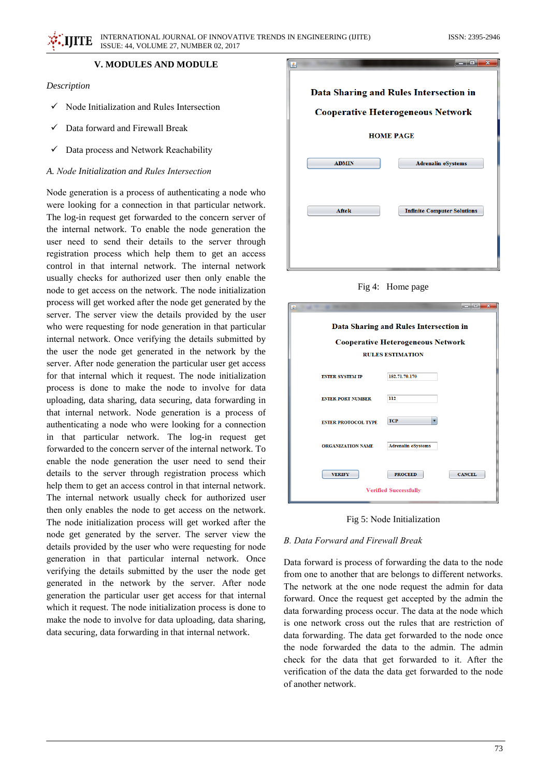# **V. MODULES AND MODULE**

## Description

- $\checkmark$  Node Initialization and Rules Intersection
- Data forward and Firewall Break
- Data process and Network Reachability

## A. Node Initialization and Rules Intersection

Node generation is a process of authenticating a node who were looking for a connection in that particular network. The log-in request get forwarded to the concern server of the internal network. To enable the node generation the user need to send their details to the server through registration process which help them to get an access control in that internal network. The internal network usually checks for authorized user then only enable the node to get access on the network. The node initialization process will get worked after the node get generated by the server. The server view the details provided by the user who were requesting for node generation in that particular internal network. Once verifying the details submitted by the user the node get generated in the network by the server. After node generation the particular user get access for that internal which it request. The node initialization process is done to make the node to involve for data uploading, data sharing, data securing, data forwarding in that internal network. Node generation is a process of authenticating a node who were looking for a connection in that particular network. The log-in request get forwarded to the concern server of the internal network. To enable the node generation the user need to send their details to the server through registration process which help them to get an access control in that internal network. The internal network usually check for authorized user then only enables the node to get access on the network. The node initialization process will get worked after the node get generated by the server. The server view the details provided by the user who were requesting for node generation in that particular internal network. Once verifying the details submitted by the user the node get generated in the network by the server. After node generation the particular user get access for that internal which it request. The node initialization process is done to make the node to involve for data uploading, data sharing, data securing, data forwarding in that internal network.



Fig 4: Home page

| 画                                                                                                             | نعاريصر                                                         |  |
|---------------------------------------------------------------------------------------------------------------|-----------------------------------------------------------------|--|
| Data Sharing and Rules Intersection in<br><b>Cooperative Heterogeneous Network</b><br><b>RULES ESTIMATION</b> |                                                                 |  |
| <b>ENTER SYSTEM IP</b>                                                                                        | 182.71.70.170                                                   |  |
| <b>ENTER PORT NUMBER</b>                                                                                      | 112                                                             |  |
| <b>ENTER PROTOCOL TYPE</b>                                                                                    | <b>TCP</b>                                                      |  |
| <b>ORGANIZATION NAME</b>                                                                                      | <b>Adrenalin eSystems</b>                                       |  |
| <b>VERIFY</b>                                                                                                 | <b>CANCEL</b><br><b>PROCEED</b><br><b>Verified Successfully</b> |  |

Fig 5: Node Initialization

#### B. Data Forward and Firewall Break

Data forward is process of forwarding the data to the node from one to another that are belongs to different networks. The network at the one node request the admin for data forward. Once the request get accepted by the admin the data forwarding process occur. The data at the node which is one network cross out the rules that are restriction of data forwarding. The data get forwarded to the node once the node forwarded the data to the admin. The admin check for the data that get forwarded to it. After the verification of the data the data get forwarded to the node of another network.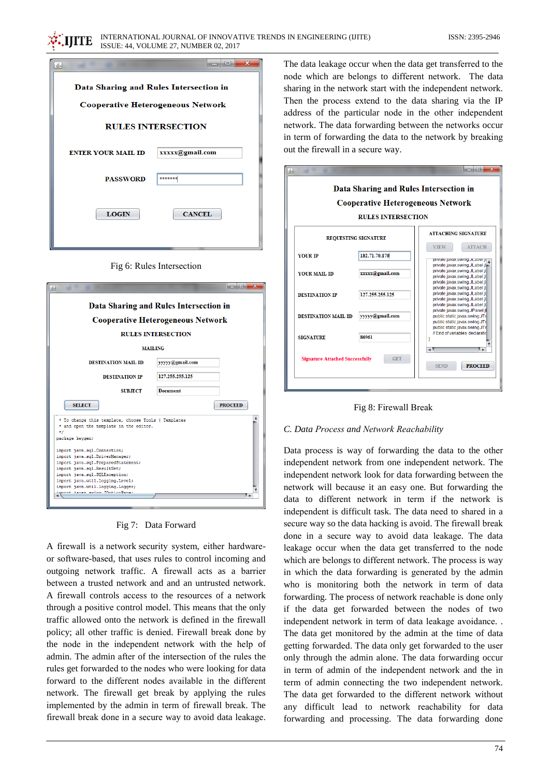| չ                                                                                                                       | $\overline{\mathbf{x}}$<br>$\Box$      |  |  |
|-------------------------------------------------------------------------------------------------------------------------|----------------------------------------|--|--|
|                                                                                                                         |                                        |  |  |
| Data Sharing and Rules Intersection in                                                                                  |                                        |  |  |
| <b>Cooperative Heterogeneous Network</b>                                                                                |                                        |  |  |
| <b>RULES INTERSECTION</b>                                                                                               |                                        |  |  |
| <b>ENTER YOUR MAIL ID</b>                                                                                               | xxxxx@gmail.com                        |  |  |
| <b>PASSWORD</b>                                                                                                         | *******                                |  |  |
| <b>LOGIN</b>                                                                                                            | <b>CANCEL</b>                          |  |  |
|                                                                                                                         |                                        |  |  |
| Fig 6: Rules Intersection<br>$\Box$ e<br>$\mathbf{x}$<br>▲                                                              |                                        |  |  |
|                                                                                                                         | Data Sharing and Rules Intersection in |  |  |
| <b>Cooperative Heterogeneous Network</b>                                                                                |                                        |  |  |
| <b>RULES INTERSECTION</b>                                                                                               |                                        |  |  |
| <b>MAILING</b>                                                                                                          |                                        |  |  |
| <b>DESTINATION MAIL ID</b>                                                                                              | yyyyy@gmail.com                        |  |  |
| <b>DESTINATION IP</b>                                                                                                   | 127.255.255.125                        |  |  |
| <b>SUBJECT</b>                                                                                                          | <b>Document</b>                        |  |  |
| <b>SELECT</b>                                                                                                           | <b>PROCEED</b>                         |  |  |
| * To change this template, choose Tools   Templates<br>* and open the template in the editor.<br>$*$<br>package keygen; |                                        |  |  |

Fig 7: Data Forward

import java.sql.DriverManager; import java.sql.PreparedStatement:

import java.sql.ResultSet;<br>import java.sql.ResultSet;<br>import java.sql.SQLException;

nditav vette

import java.util.logging.Level; java.util.logging.Logger;

A firewall is a network security system, either hardwareor software-based, that uses rules to control incoming and outgoing network traffic. A firewall acts as a barrier between a trusted network and and an untrusted network. A firewall controls access to the resources of a network through a positive control model. This means that the only traffic allowed onto the network is defined in the firewall policy; all other traffic is denied. Firewall break done by the node in the independent network with the help of admin. The admin after of the intersection of the rules the rules get forwarded to the nodes who were looking for data forward to the different nodes available in the different network. The firewall get break by applying the rules implemented by the admin in term of firewall break. The firewall break done in a secure way to avoid data leakage.

The data leakage occur when the data get transferred to the node which are belongs to different network. The data sharing in the network start with the independent network. Then the process extend to the data sharing via the IP address of the particular node in the other independent network. The data forwarding between the networks occur in term of forwarding the data to the network by breaking out the firewall in a secure way.





# C. Data Process and Network Reachability

Data process is way of forwarding the data to the other independent network from one independent network. The independent network look for data forwarding between the network will because it an easy one. But forwarding the data to different network in term if the network is independent is difficult task. The data need to shared in a secure way so the data hacking is avoid. The firewall break done in a secure way to avoid data leakage. The data leakage occur when the data get transferred to the node which are belongs to different network. The process is way in which the data forwarding is generated by the admin who is monitoring both the network in term of data forwarding. The process of network reachable is done only if the data get forwarded between the nodes of two independent network in term of data leakage avoidance. . The data get monitored by the admin at the time of data getting forwarded. The data only get forwarded to the user only through the admin alone. The data forwarding occur in term of admin of the independent network and the in term of admin connecting the two independent network. The data get forwarded to the different network without any difficult lead to network reachability for data forwarding and processing. The data forwarding done